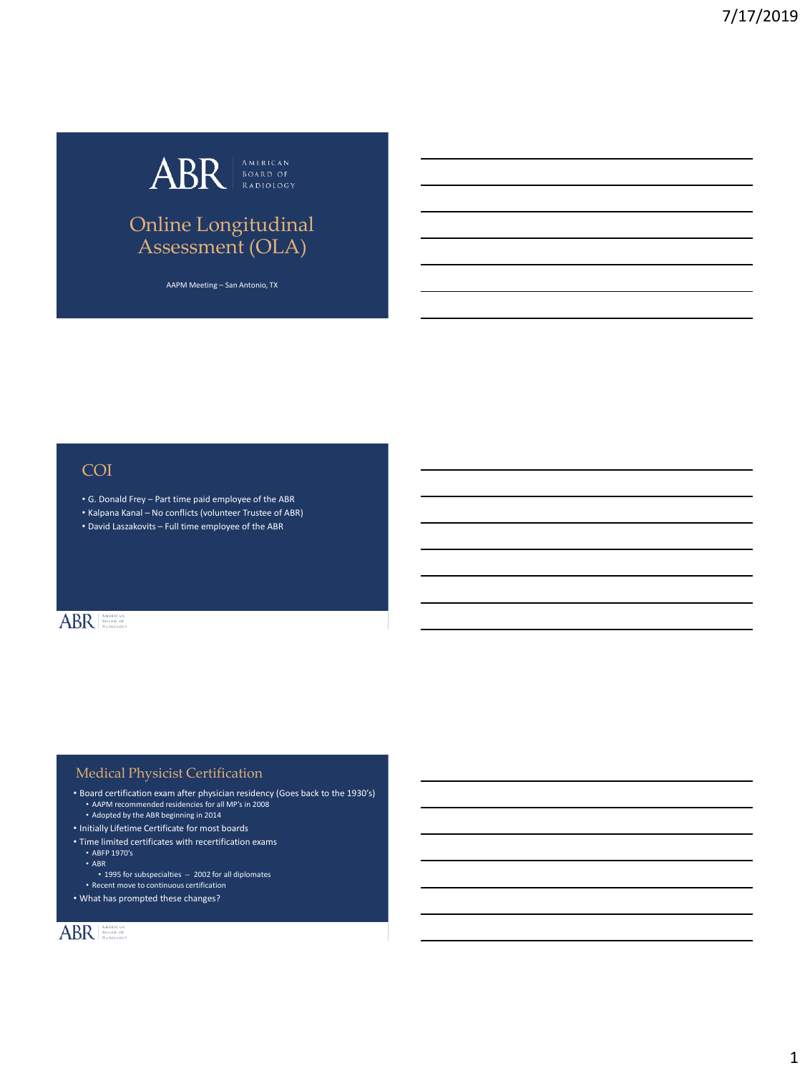

## Online Longitudinal Assessment (OLA)

AAPM Meeting – San Antonio, TX

## COI

- G. Donald Frey Part time paid employee of the ABR
- Kalpana Kanal No conflicts (volunteer Trustee of ABR)
- David Laszakovits Full time employee of the ABR

## ABR AMERICAN

#### Medical Physicist Certification

- Board certification exam after physician residency (Goes back to the 1930's) • AAPM recommended residencies for all MP's in 2008
- Adopted by the ABR beginning in 2014
- Initially Lifetime Certificate for most boards
- Time limited certificates with recertification exams
	- ABFP 1970's
	- ABR • 1995 for subspecialties  $-2002$  for all diplomates
	- Recent move to continuous certification
- What has prompted these changes?

## ABR AMERICAN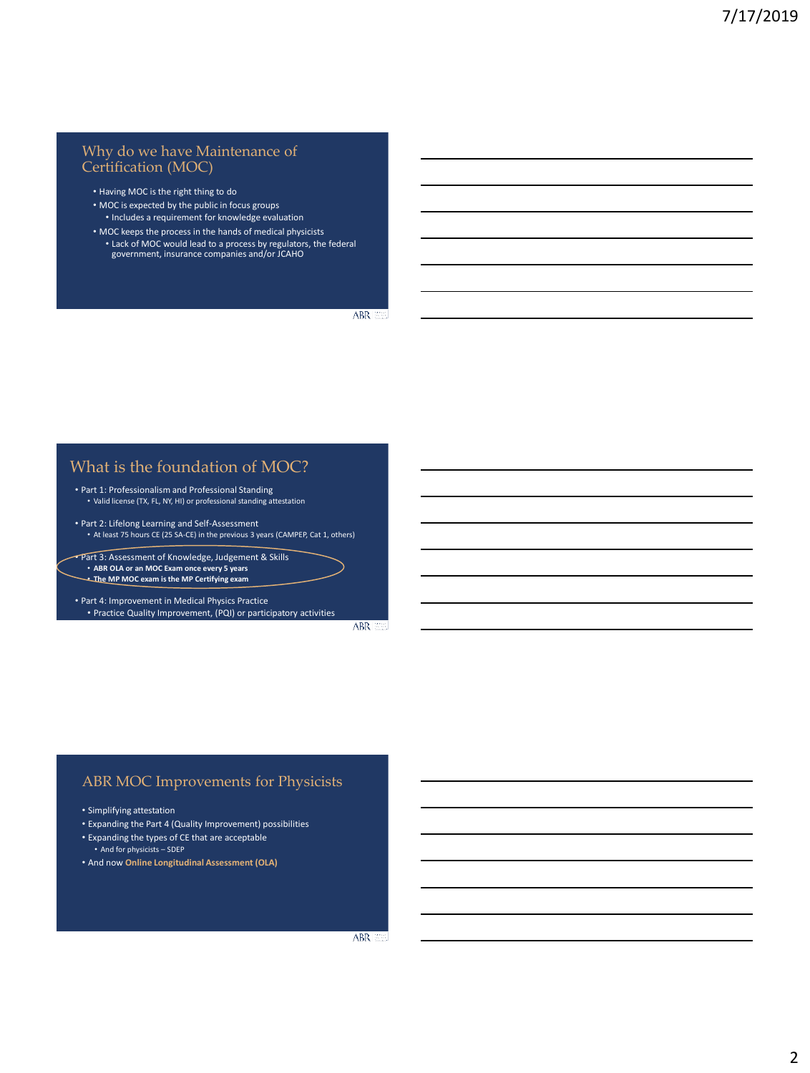#### Why do we have Maintenance of Certification (MOC)

- Having MOC is the right thing to do
- MOC is expected by the public in focus groups • Includes a requirement for knowledge evaluation
- MOC keeps the process in the hands of medical physicists • Lack of MOC would lead to a process by regulators, the federal government, insurance companies and/or JCAHO

ABR 358

#### What is the foundation of MOC?

- Part 1: Professionalism and Professional Standing • Valid license (TX, FL, NY, HI) or professional standing attestation
- Part 2: Lifelong Learning and Self-Assessment • At least 75 hours CE (25 SA-CE) in the previous 3 years (CAMPEP, Cat 1, others)
- Part 3: Assessment of Knowledge, Judgement & Skills • **ABR OLA or an MOC Exam once every 5 years** • **The MP MOC exam is the MP Certifying exam**
- Part 4: Improvement in Medical Physics Practice • Practice Quality Improvement, (PQI) or participatory activities

ABR 200

#### ABR MOC Improvements for Physicists

- Simplifying attestation
- Expanding the Part 4 (Quality Improvement) possibilities
- Expanding the types of CE that are acceptable
- And for physicists SDEP
- And now **Online Longitudinal Assessment (OLA)**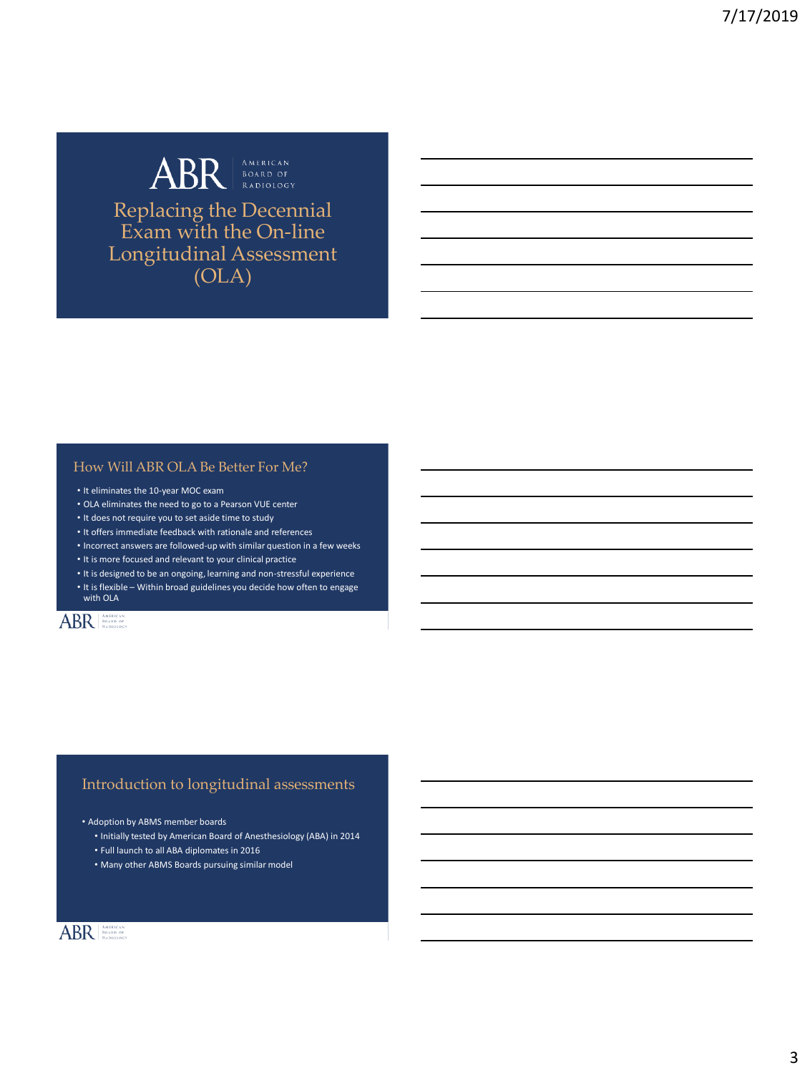# ABR AMERICAN Replacing the Decennial

Exam with the On-line Longitudinal Assessment (OLA)

#### How Will ABR OLA Be Better For Me?

- It eliminates the 10-year MOC exam
- OLA eliminates the need to go to a Pearson VUE center
- It does not require you to set aside time to study
- It offers immediate feedback with rationale and references
- Incorrect answers are followed-up with similar question in a few weeks
- It is more focused and relevant to your clinical practice
- It is designed to be an ongoing, learning and non-stressful experience
- It is flexible Within broad guidelines you decide how often to engage with OLA

## ABR AMERICAN

#### Introduction to longitudinal assessments

• Adoption by ABMS member boards

- Initially tested by American Board of Anesthesiology (ABA) in 2014
- Full launch to all ABA diplomates in 2016
- Many other ABMS Boards pursuing similar model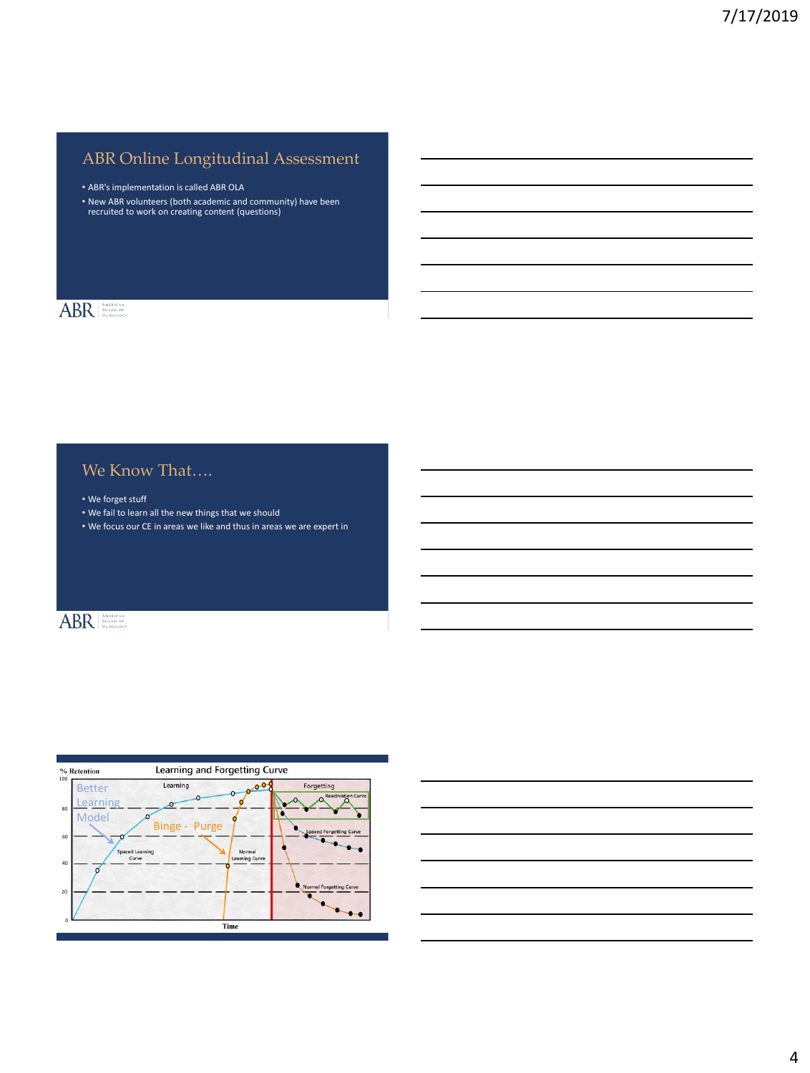## ABR Online Longitudinal Assessment

• ABR's implementation is called ABR OLA

• New ABR volunteers (both academic and community) have been recruited to work on creating content (questions)

### ABR AMERICAN

## We Know That....

• We forget stuff

- We fail to learn all the new things that we should
- We focus our CE in areas we like and thus in areas we are expert in

## ABR AMERICAN



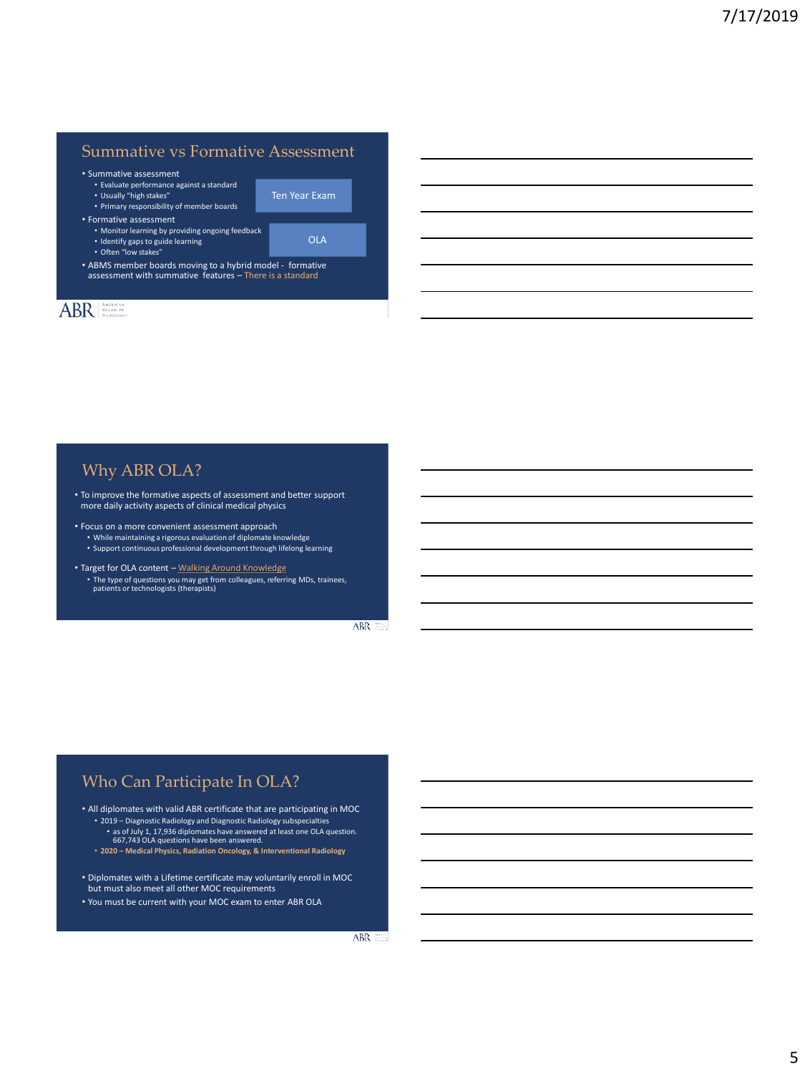### Summative vs Formative Assessment

Ten Year Exam

OLA

• Summative assessment

- Evaluate performance against a standard
- Usually "high stakes" • Primary responsibility of member boards
- Formative assessment
	- Monitor learning by providing ongoing feedback
	- Identify gaps to guide learning
	- Often "low stakes"

• ABMS member boards moving to a hybrid model - formative assessment with summative features – There is a standard

### ABR

Why ABR OLA?

- To improve the formative aspects of assessment and better support more daily activity aspects of clinical medical physics
- Focus on a more convenient assessment approach • While maintaining a rigorous evaluation of diplomate knowledge • Support continuous professional development through lifelong learning
- Target for OLA content Walking Around Knowledge • The type of questions you may get from colleagues, referring MDs, trainees, patients or technologists (therapists)

ABR 359

#### Who Can Participate In OLA?

• All diplomates with valid ABR certificate that are participating in MOC • 2019 – Diagnostic Radiology and Diagnostic Radiology subspecialties

- as of July 1, 17,936 diplomates have answered at least one OLA question. 667,743 OLA questions have been answered.
- **2020 – Medical Physics, Radiation Oncology, & Interventional Radiology**
- Diplomates with a Lifetime certificate may voluntarily enroll in MOC but must also meet all other MOC requirements
- You must be current with your MOC exam to enter ABR OLA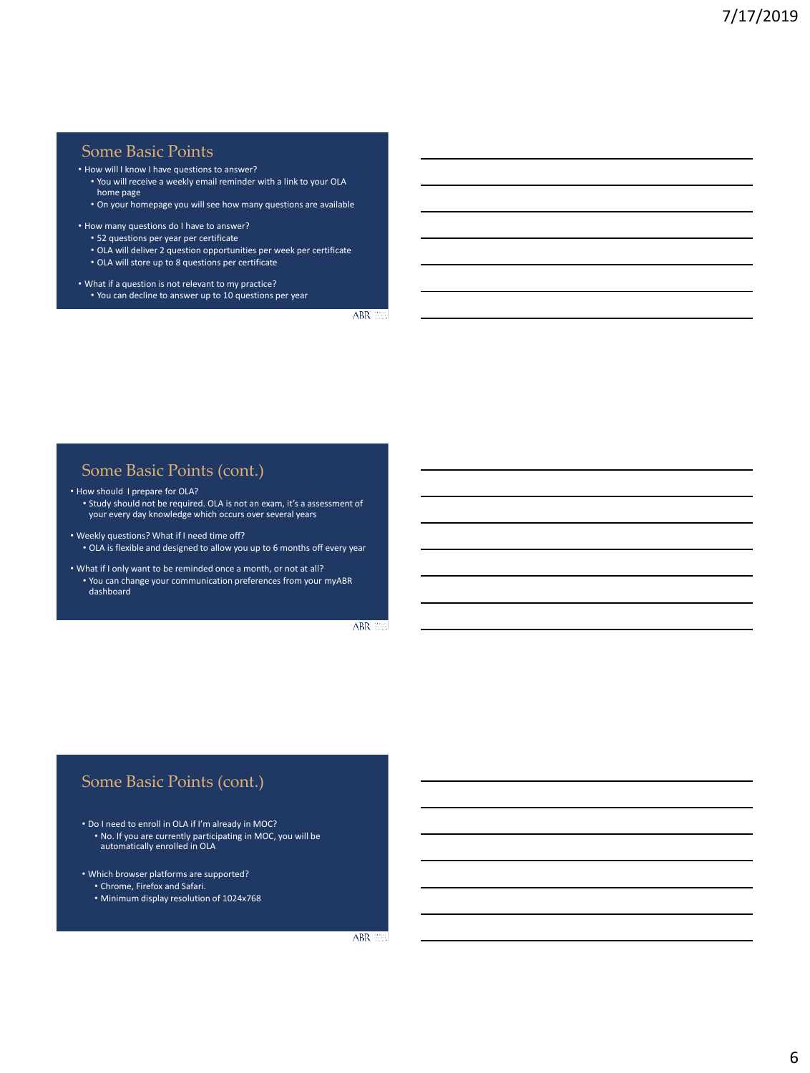#### Some Basic Points

• How will I know I have questions to answer?

- You will receive a weekly email reminder with a link to your OLA home page
- On your homepage you will see how many questions are available

• How many questions do I have to answer?

- 52 questions per year per certificate
- OLA will deliver 2 question opportunities per week per certificate
- OLA will store up to 8 questions per certificate
- What if a question is not relevant to my practice? • You can decline to answer up to 10 questions per year

ABR 200

#### Some Basic Points (cont.)

• How should I prepare for OLA?

• Study should not be required. OLA is not an exam, it's a assessment of your every day knowledge which occurs over several years

- Weekly questions? What if I need time off? • OLA is flexible and designed to allow you up to 6 months off every year
- What if I only want to be reminded once a month, or not at all? • You can change your communication preferences from your myABR dashboard

ABR 200

#### Some Basic Points (cont.)

- Do I need to enroll in OLA if I'm already in MOC?
- No. If you are currently participating in MOC, you will be automatically enrolled in OLA
- Which browser platforms are supported?
	- Chrome, Firefox and Safari.
	- Minimum display resolution of 1024x768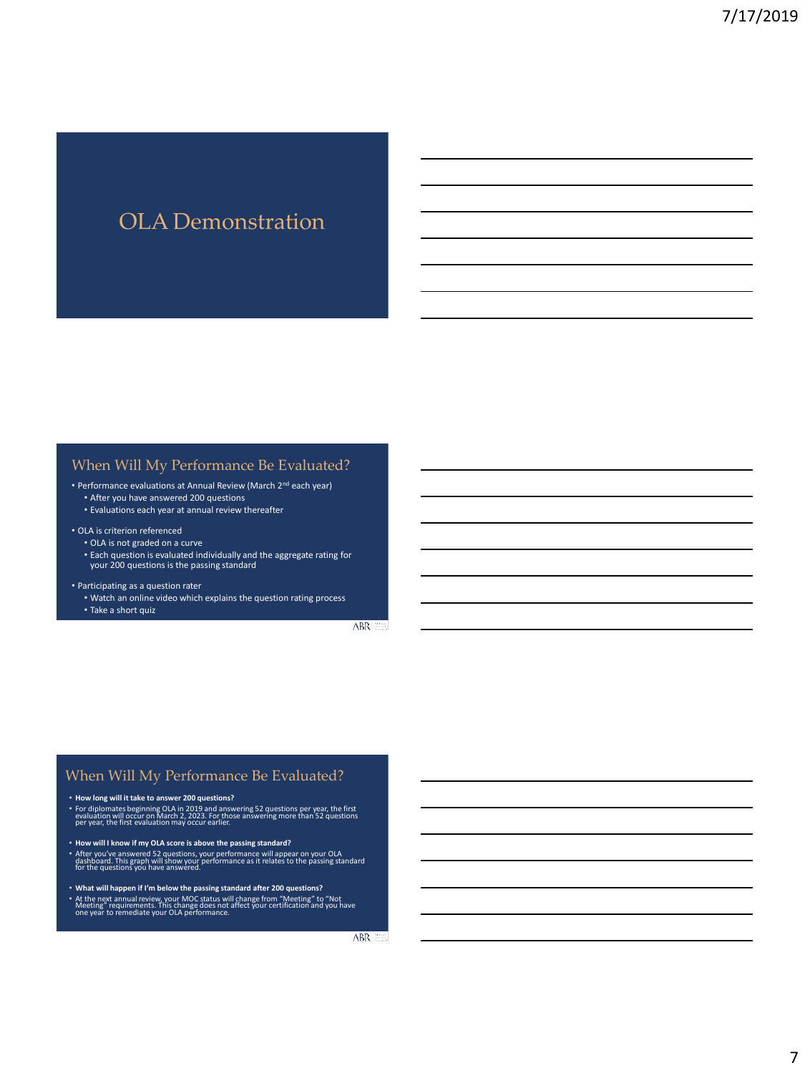## OLA Demonstration

#### When Will My Performance Be Evaluated?

- Performance evaluations at Annual Review (March 2nd each year)
	- After you have answered 200 questions
	- Evaluations each year at annual review thereafter

#### • OLA is criterion referenced

- OLA is not graded on a curve
- Each question is evaluated individually and the aggregate rating for your 200 questions is the passing standard

#### • Participating as a question rater

• Watch an online video which explains the question rating process • Take a short quiz

ABR 359

#### When Will My Performance Be Evaluated?

#### • **How long will it take to answer 200 questions?**

- For diplomates beginning OLA in 2019 and answering 52 questions per year, the first evaluation will occur on March 2, 2023. For those answering more than 52 questions per year, the first evaluation may occur earlier.
- **How will I know if my OLA score is above the passing standard?**
- After you've answered 52 questions, your performance will appear on your OLA dashboard. This graph will show your performance as it relates to the passing standard for the questions you have answered.
- 
- What will happen if I'm below the passing standard after 200 questions?<br>• At the next annual review, your MOC status will change from "Meeting" to "Not<br>Meeting" requirements. This change does not affect your certificatio

ABR **ELE**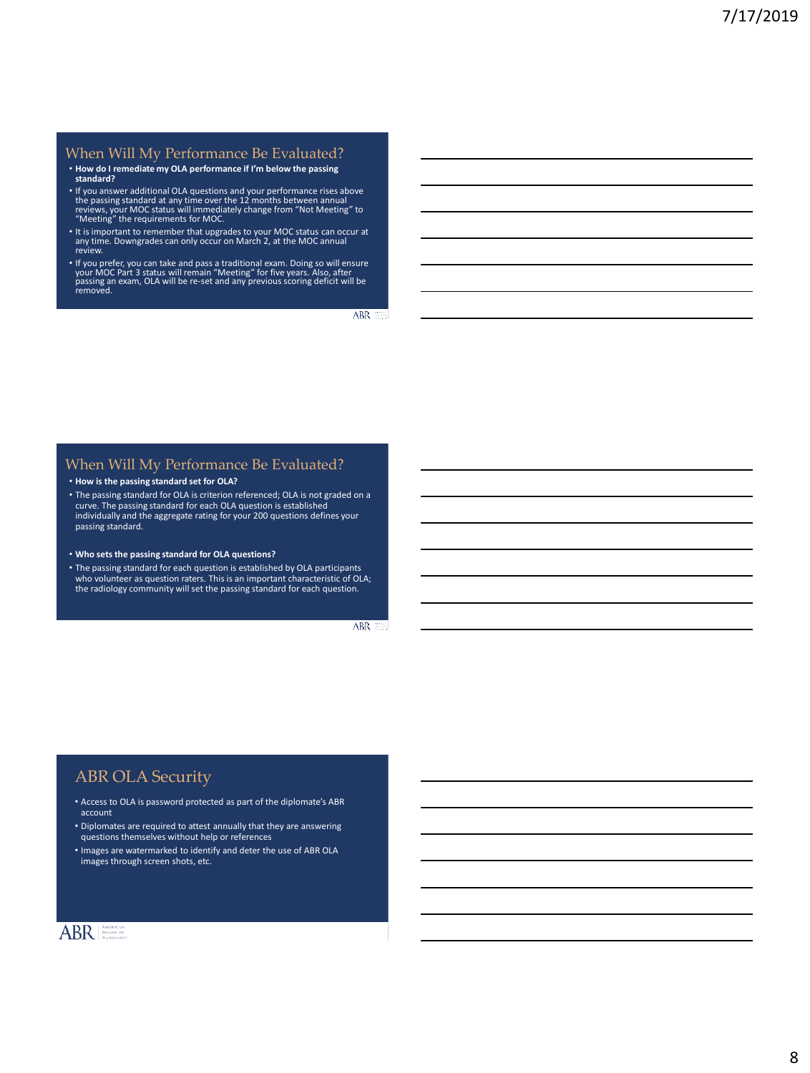#### When Will My Performance Be Evaluated?

- **How do I remediate my OLA performance if I'm below the passing standard?**
- If you answer additional OLA questions and your performance rises above<br>the passing standard at any time over the 12 months between annual<br>reviews, your MOC status will immediately change from "Not Meeting" to<br>"Meeting"
- It is important to remember that upgrades to your MOC status can occur at any time. Downgrades can only occur on March 2, at the MOC annual review.
- If you prefer, you can take and pass a traditional exam. Doing so will ensure<br>your MOC Part 3 status will remain "Meeting" for five years. Also, after<br>passing an exam, OLA will be re-set and any previous scoring deficit

ABR 333

#### When Will My Performance Be Evaluated?

#### • **How is the passing standard set for OLA?**

- The passing standard for OLA is criterion referenced; OLA is not graded on a curve. The passing standard for each OLA question is established individually and the aggregate rating for your 200 questions defines your passing standard.
- **Who sets the passing standard for OLA questions?**
- The passing standard for each question is established by OLA participants who volunteer as question raters. This is an important characteristic of OLA; the radiology community will set the passing standard for each question.

ABR 200

#### ABR OLA Security

- Access to OLA is password protected as part of the diplomate's ABR account
- Diplomates are required to attest annually that they are answering questions themselves without help or references
- Images are watermarked to identify and deter the use of ABR OLA images through screen shots, etc.

### ABRI ANTENCAN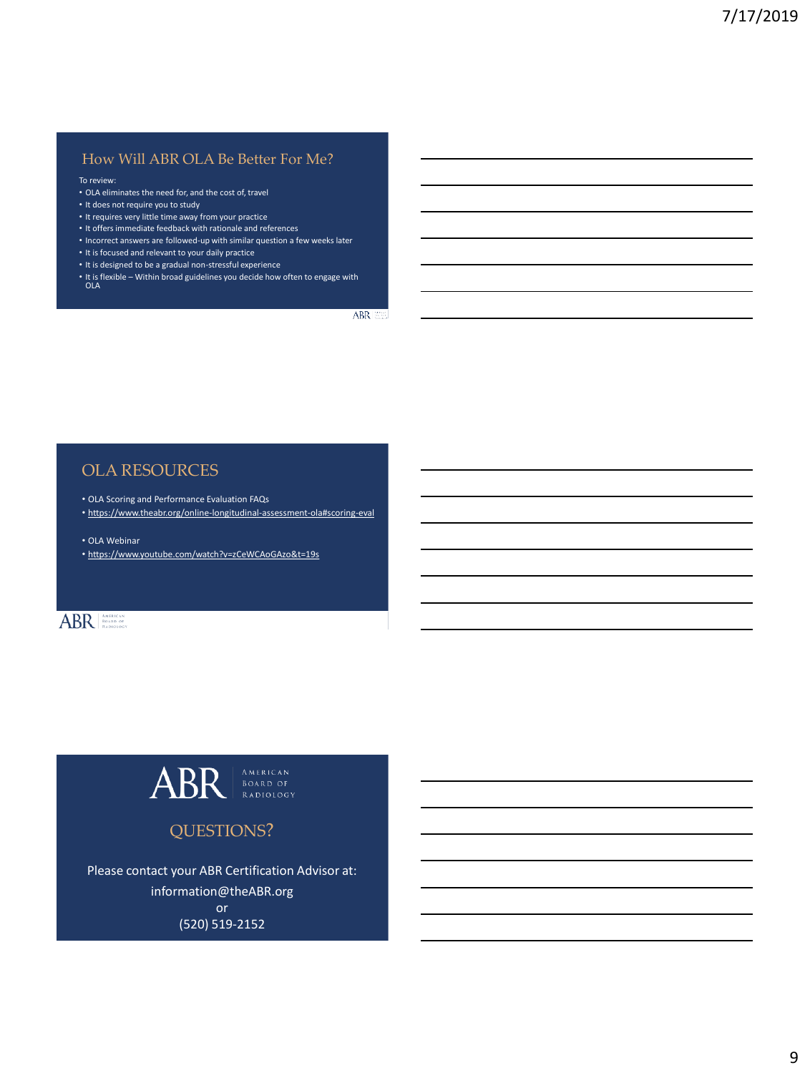#### How Will ABR OLA Be Better For Me?

#### To review:

- OLA eliminates the need for, and the cost of, travel
- It does not require you to study
- It requires very little time away from your practice
- It offers immediate feedback with rationale and references
- Incorrect answers are followed-up with similar question a few weeks later
- It is focused and relevant to your daily practice
- It is designed to be a gradual non-stressful experience
- It is flexible Within broad guidelines you decide how often to engage with OLA

ABR **EE** 

#### OLA RESOURCES

- OLA Scoring and Performance Evaluation FAQs
- <https://www.theabr.org/online-longitudinal-assessment-ola#scoring-eval>
- OLA Webinar
- https://www.youtube.com/watch?v=zCeWCAoGAzo&t=19s

## ABR **ABR**



## Please contact your ABR Certification Advisor at:

information@theABR.org or

(520) 519-2152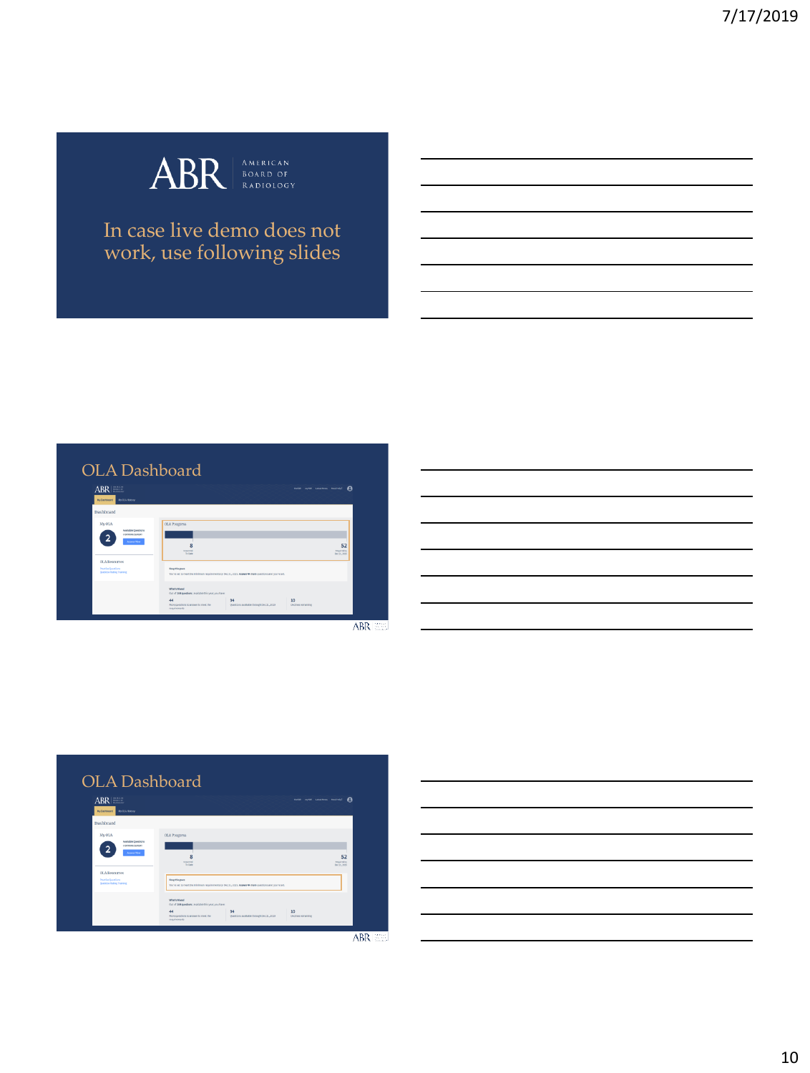

## In case live demo does not work, use following slides





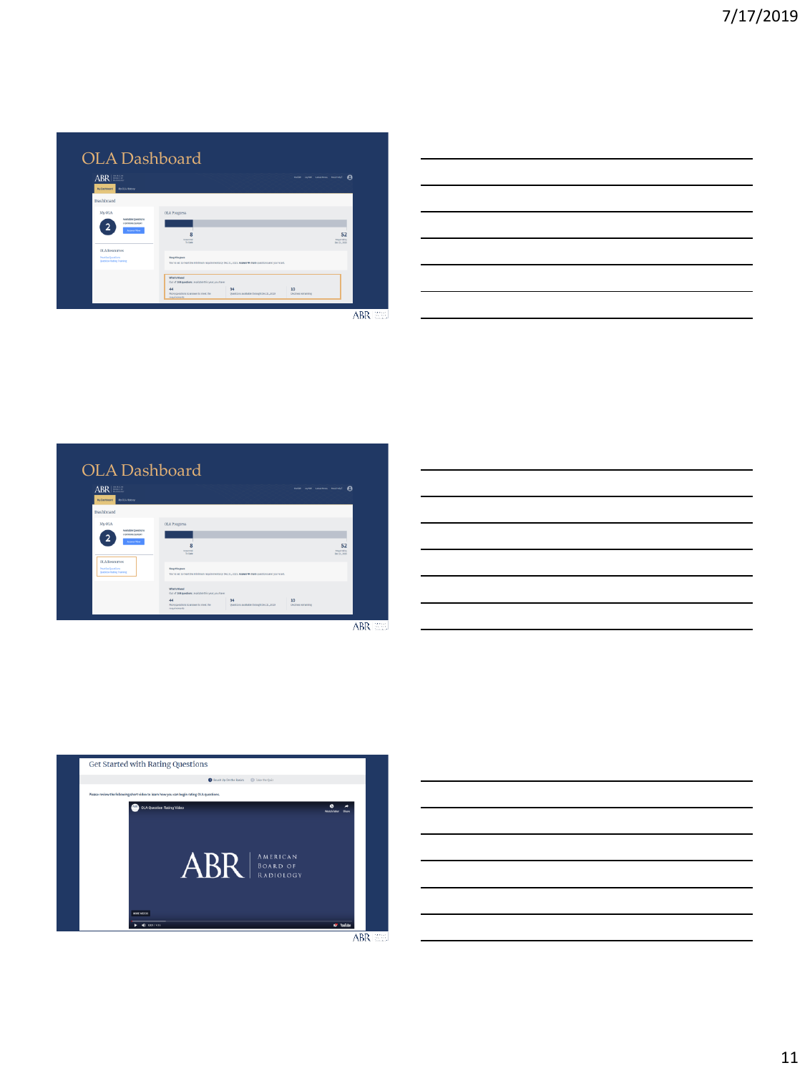| ABR<br>Wüntterd McCAttery                                                                                                                                  |                                                                                                                                                                           | therein myster catedrales mediated<br>A |
|------------------------------------------------------------------------------------------------------------------------------------------------------------|---------------------------------------------------------------------------------------------------------------------------------------------------------------------------|-----------------------------------------|
| <b>Dashboard</b>                                                                                                                                           |                                                                                                                                                                           |                                         |
| My OLA<br>Available Questions<br><b>LOZIENC SHOP</b><br><b>Amount How</b><br><b>OLA Resources</b><br><b>Practice Questions</b><br>Question Rating Training | <b>OLA Progress</b><br>я<br>Anguerad<br>To Date<br>Keep the pace<br>You're set to meet the minimum requirements by Oec 31, 2013. Answer 44 more questions and you're set. | 52<br>Required by<br>Fer 14, 2010       |

| <u> Alexandria de la conte</u>                                                                                        |  |  |  |
|-----------------------------------------------------------------------------------------------------------------------|--|--|--|
|                                                                                                                       |  |  |  |
|                                                                                                                       |  |  |  |
| <u> 1989 - Johann Barn, amerikansk politiker (d. 1989)</u>                                                            |  |  |  |
| <u> 1989 - Johann Harry Harry Harry Harry Harry Harry Harry Harry Harry Harry Harry Harry Harry Harry Harry Harry</u> |  |  |  |
|                                                                                                                       |  |  |  |
|                                                                                                                       |  |  |  |







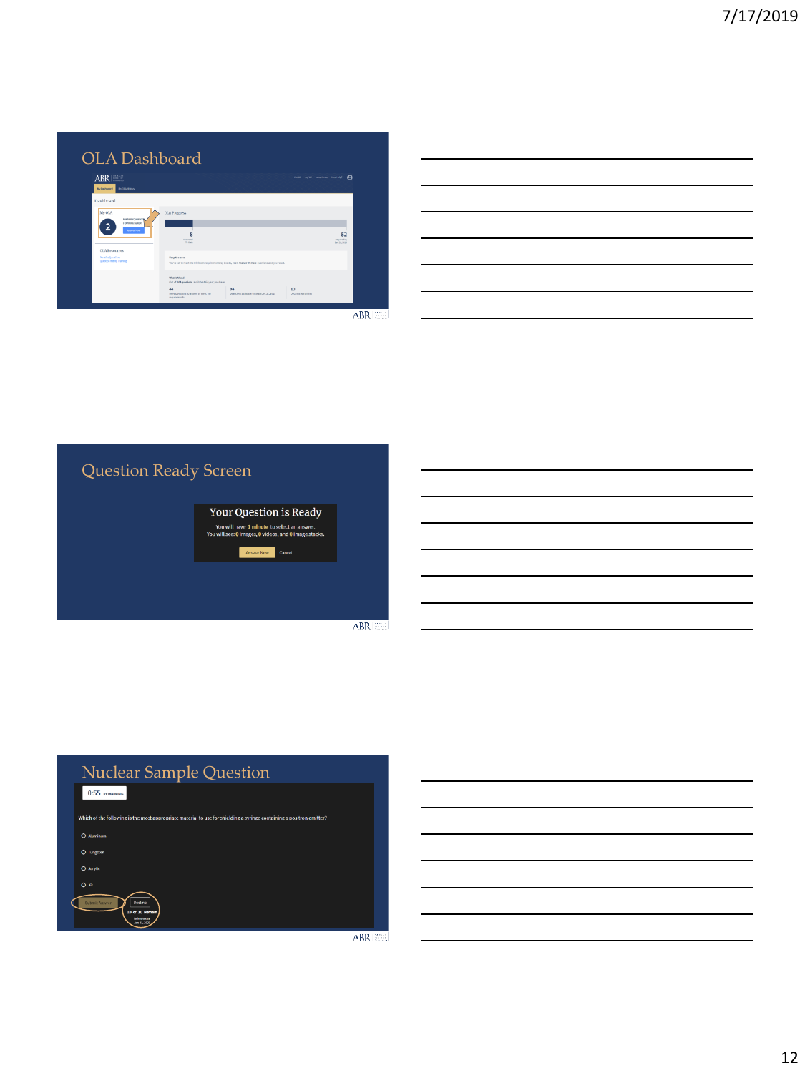| ABR<br>McGenhoard McGAttany                                                                          |                                                                                                                        | therein myster catedrales mediated<br>A |
|------------------------------------------------------------------------------------------------------|------------------------------------------------------------------------------------------------------------------------|-----------------------------------------|
| Dashboard                                                                                            |                                                                                                                        |                                         |
| My OLA<br>Available Questions<br><b>LEXPIRES SURGEY</b><br><b>Arment How</b><br><b>OLA Resources</b> | <b>OLA Progress</b><br>8<br><b>Movend</b><br>To Date                                                                   | 52<br>Required by<br>Fer. H., 2019      |
| <b>Practice Questions</b><br>Question Rating Training                                                | Keep the pace<br>You're set to meet the minimum requirements by Oec 31, 2013. Answer 44 more questions and you're set. |                                         |

|  | the contract of the contract of the contract of the contract of the contract of the contract of the contract of |  |  |                                                                                                                  |
|--|-----------------------------------------------------------------------------------------------------------------|--|--|------------------------------------------------------------------------------------------------------------------|
|  |                                                                                                                 |  |  |                                                                                                                  |
|  |                                                                                                                 |  |  |                                                                                                                  |
|  |                                                                                                                 |  |  | <b>Contract Contract</b>                                                                                         |
|  |                                                                                                                 |  |  | and the control of the control of the control of the control of the control of the control of the control of the |
|  |                                                                                                                 |  |  |                                                                                                                  |
|  |                                                                                                                 |  |  |                                                                                                                  |



|                | <b>Nuclear Sample Question</b>                                                                                        |  |
|----------------|-----------------------------------------------------------------------------------------------------------------------|--|
| 0:55 REMAINING |                                                                                                                       |  |
|                | Which of the following is the most appropriate material to use for shielding a syringe containing a positron emitter? |  |
| C Aluminum     |                                                                                                                       |  |
| O Tungsten     |                                                                                                                       |  |
| O Acrylic      |                                                                                                                       |  |
| O Air          |                                                                                                                       |  |
| Submit Answer  | Decline<br>10 of 10 Remain<br><b>Extenhesion</b>                                                                      |  |

ABR EEL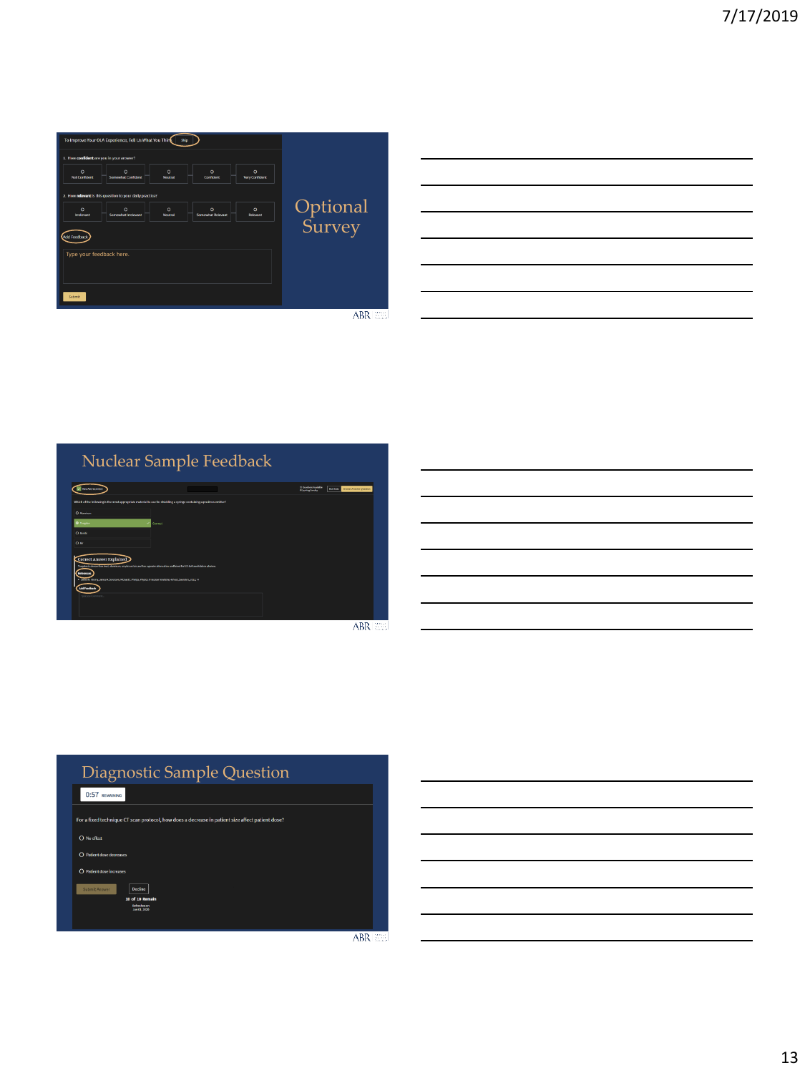| 1. How confident are you in your answer?                                                                                                                  |                    |
|-----------------------------------------------------------------------------------------------------------------------------------------------------------|--------------------|
| $\circ$<br>$\circ$<br>$\circ$<br>$\circ$<br>$\circ$<br><b>Somewhat Confident</b><br><b>Very Confident</b><br><b>Not Confident</b><br>Confident<br>Neutral |                    |
| 2. How relevant is this question to your daily practice?                                                                                                  |                    |
| $\circ$<br>$\Omega$<br>$\circ$<br>$\circ$<br>$\circ$<br>Somewhat Imployant<br><b>Somewhat Relevant</b><br><b>Relevant</b><br>Implevant<br><b>Nounce</b>   | Optional<br>Survey |
| <b>Md Feedbac</b>                                                                                                                                         |                    |
| Type your feedback here.                                                                                                                                  |                    |
|                                                                                                                                                           |                    |
| Submit                                                                                                                                                    |                    |

| <u>se establecer a la contrada de la contrada de la contrada de la contrada de la contrada de la contrada de la c</u> |  |  |
|-----------------------------------------------------------------------------------------------------------------------|--|--|
|                                                                                                                       |  |  |
|                                                                                                                       |  |  |

Nuclear Sample Feedback

| <b>Sau Are Correct</b>                                                                                                                                     |         | 13 Questions Available<br># Equining Sunday | <b>BRRIST Answer Anather Question</b> |                               |
|------------------------------------------------------------------------------------------------------------------------------------------------------------|---------|---------------------------------------------|---------------------------------------|-------------------------------|
| Which of the following is the most appropriate material to use for shidding a saringe containing a positron emitter?                                       |         |                                             |                                       |                               |
| O mente                                                                                                                                                    |         |                                             |                                       |                               |
| <b>B</b> hapts                                                                                                                                             | Correct |                                             |                                       |                               |
| O Auytic                                                                                                                                                   |         |                                             |                                       |                               |
| 0 <sup>5</sup>                                                                                                                                             |         |                                             |                                       |                               |
| Correct Answer Explained                                                                                                                                   |         |                                             |                                       |                               |
| Tuxquien in denote than load, alamimum, acrylic and als, and has a greater attenuation coefficient for 533 hell annihilation photons.<br><b>References</b> |         |                                             |                                       |                               |
| . Simon P, Cherry, Janua A, Serviceon, Michael E, Photos, Phonics Immediate meeticine, 4M ed., Secretors, 2012; 74<br>Add Feedback                         |         |                                             |                                       |                               |
| Form system                                                                                                                                                |         |                                             |                                       |                               |
|                                                                                                                                                            |         |                                             |                                       |                               |
|                                                                                                                                                            |         |                                             | $ -$                                  | the control of the control of |



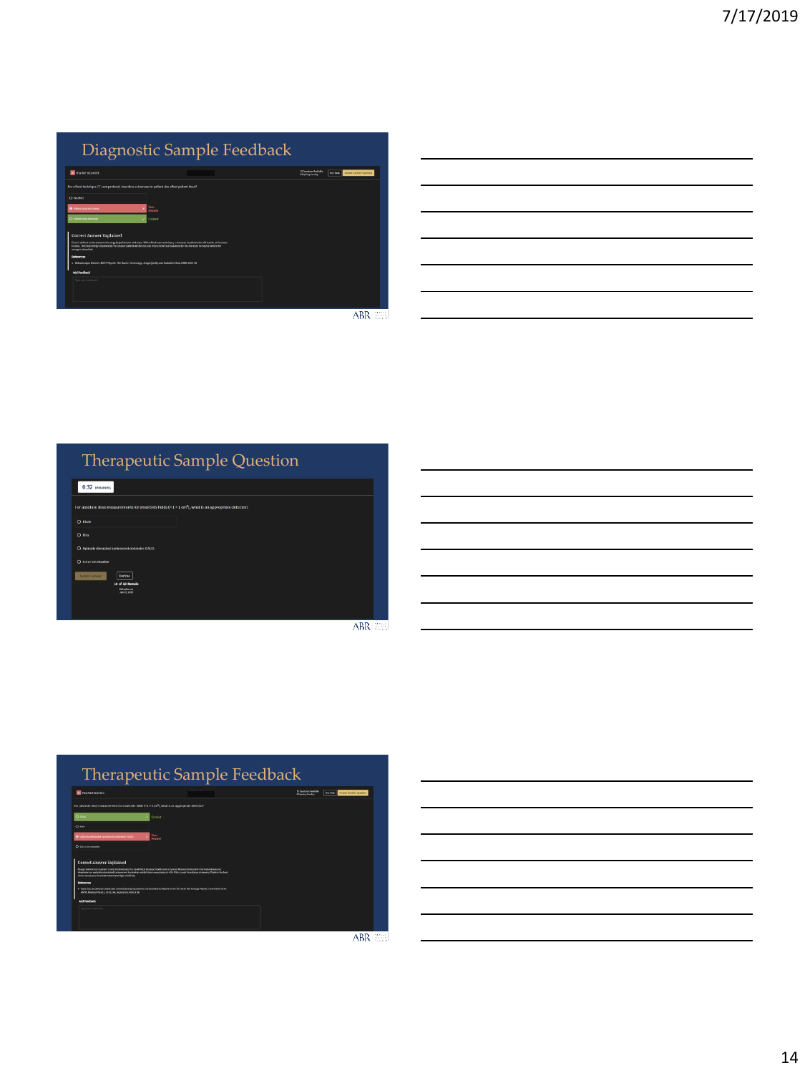|                                                                                                                                                                                                                                | Diagnostic Sample Feedback                                                                                                                                                                                                                                                                     |                                               |                                                   |
|--------------------------------------------------------------------------------------------------------------------------------------------------------------------------------------------------------------------------------|------------------------------------------------------------------------------------------------------------------------------------------------------------------------------------------------------------------------------------------------------------------------------------------------|-----------------------------------------------|---------------------------------------------------|
| Vou Are Incorrect                                                                                                                                                                                                              |                                                                                                                                                                                                                                                                                                | 17 Denders Andrake<br><b>Clasifies Sanday</b> | <b>Amount Another Question</b><br><b>Not Move</b> |
| For a flord technique CT scan protocol, how does a decrease in patient size affect patient dose?                                                                                                                               |                                                                                                                                                                                                                                                                                                |                                               |                                                   |
| O model                                                                                                                                                                                                                        |                                                                                                                                                                                                                                                                                                |                                               |                                                   |
| <b>R</b> Patient down decreases                                                                                                                                                                                                | four<br>Sexuar                                                                                                                                                                                                                                                                                 |                                               |                                                   |
| C Patient dose increas-                                                                                                                                                                                                        | Correct                                                                                                                                                                                                                                                                                        |                                               |                                                   |
| <b>Correct Answer Explained</b><br>every is absorbed.<br><b>Belgravyan</b><br>. Mahadevappa Mahesh, MOCT Fhistoc The Basico: Fechnology, Image Oswitz and Radiation Dose, UIRA, 2009; 19<br>Add Feedback<br>Type your comment. | those in defined as the amount of energy deposited per unit mans. With a fixed scan technique, a decrease in patient size with eachs an increase<br>in dear. The total energy absorbed by the smaller patient will be less, but this is more than balanced by the decreme in mass in which the |                                               |                                                   |
|                                                                                                                                                                                                                                |                                                                                                                                                                                                                                                                                                |                                               |                                                   |
|                                                                                                                                                                                                                                |                                                                                                                                                                                                                                                                                                |                                               | <b>EN 1988</b><br><b><i><u>Product</u></i></b>    |

|                                                             | <u> 1989 - Andrea Santa Andrea Andrea Andrea Andrea Andrea Andrea Andrea Andrea Andrea Andrea Andrea Andrea Andr</u> |  |  |
|-------------------------------------------------------------|----------------------------------------------------------------------------------------------------------------------|--|--|
|                                                             | the contract of the contract of the contract of the contract of the contract of                                      |  |  |
| <u> 1989 - Johann Stoff, amerikansk politiker (d. 1989)</u> |                                                                                                                      |  |  |
|                                                             | <u> 1989 - Andrea Andrew Maria (h. 1989).</u>                                                                        |  |  |
|                                                             |                                                                                                                      |  |  |

## Therapeutic Sample Question

| $0:32$ REMAINING                                                                                                       |
|------------------------------------------------------------------------------------------------------------------------|
| For absolute dose measurements for small SRS fields $(41 \times 1$ cm <sup>2</sup> ), what is an appropriate detector? |
| O Diode                                                                                                                |
| O Film                                                                                                                 |
| O Optically stimulated luminescent dosimeter (OSLD)                                                                    |
| O o.s-cc-ion-chamber                                                                                                   |
| Submit Answer<br>Decine<br>10 of 10 Remain<br>Detectors on<br>Jan-11, 2030                                             |
|                                                                                                                        |

ABR EE



ABR **ELE**